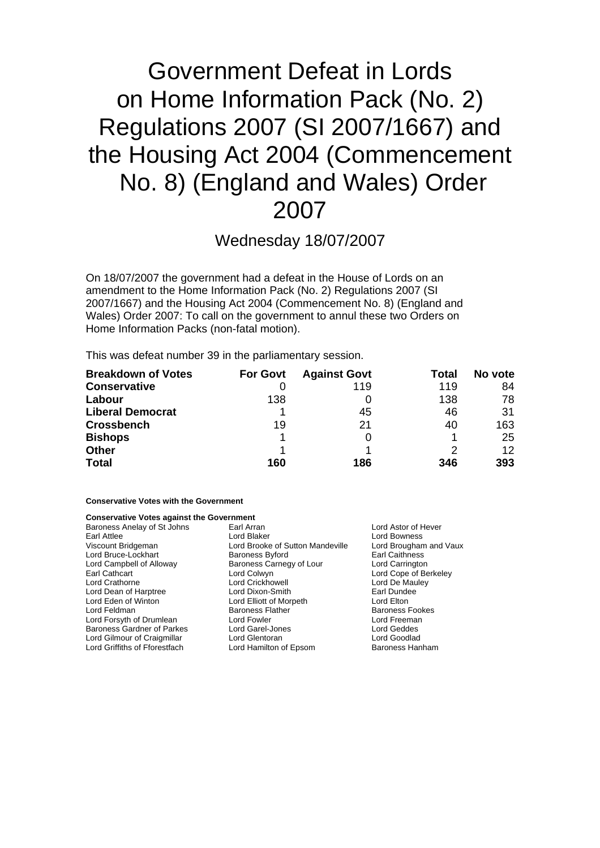# Government Defeat in Lords on Home Information Pack (No. 2) Regulations 2007 (SI 2007/1667) and the Housing Act 2004 (Commencement No. 8) (England and Wales) Order 2007

Wednesday 18/07/2007

On 18/07/2007 the government had a defeat in the House of Lords on an amendment to the Home Information Pack (No. 2) Regulations 2007 (SI 2007/1667) and the Housing Act 2004 (Commencement No. 8) (England and Wales) Order 2007: To call on the government to annul these two Orders on Home Information Packs (non-fatal motion).

This was defeat number 39 in the parliamentary session.

| <b>Breakdown of Votes</b> | <b>For Govt</b> | <b>Against Govt</b> | Total | No vote |
|---------------------------|-----------------|---------------------|-------|---------|
| <b>Conservative</b>       |                 | 119                 | 119   | 84      |
| Labour                    | 138             |                     | 138   | 78      |
| <b>Liberal Democrat</b>   |                 | 45                  | 46    | 31      |
| <b>Crossbench</b>         | 19              | 21                  | 40    | 163     |
| <b>Bishops</b>            |                 |                     |       | 25      |
| <b>Other</b>              |                 |                     |       | 12      |
| <b>Total</b>              | 160             | 186                 | 346   | 393     |

### **Conservative Votes with the Government**

#### **Conservative Votes against the Government**

| Baroness Anelay of St Johns   | Earl Arran                       | Lord Astor of Hever    |  |
|-------------------------------|----------------------------------|------------------------|--|
| Earl Attlee                   | Lord Blaker                      | Lord Bowness           |  |
| Viscount Bridgeman            | Lord Brooke of Sutton Mandeville | Lord Brougham and Vaux |  |
| Lord Bruce-Lockhart           | <b>Baroness Byford</b>           | Earl Caithness         |  |
| Lord Campbell of Alloway      | Baroness Carnegy of Lour         | Lord Carrington        |  |
| Earl Cathcart                 | Lord Colwyn                      | Lord Cope of Berkeley  |  |
| Lord Crathorne                | Lord Crickhowell                 | Lord De Mauley         |  |
| Lord Dean of Harptree         | Lord Dixon-Smith                 | Earl Dundee            |  |
| Lord Eden of Winton           | Lord Elliott of Morpeth          | Lord Elton             |  |
| Lord Feldman                  | <b>Baroness Flather</b>          | <b>Baroness Fookes</b> |  |
| Lord Forsyth of Drumlean      | Lord Fowler                      | Lord Freeman           |  |
| Baroness Gardner of Parkes    | Lord Garel-Jones                 | Lord Geddes            |  |
| Lord Gilmour of Craigmillar   | Lord Glentoran                   | Lord Goodlad           |  |
| Lord Griffiths of Fforestfach | Lord Hamilton of Epsom           | Baroness Hanham        |  |
|                               |                                  |                        |  |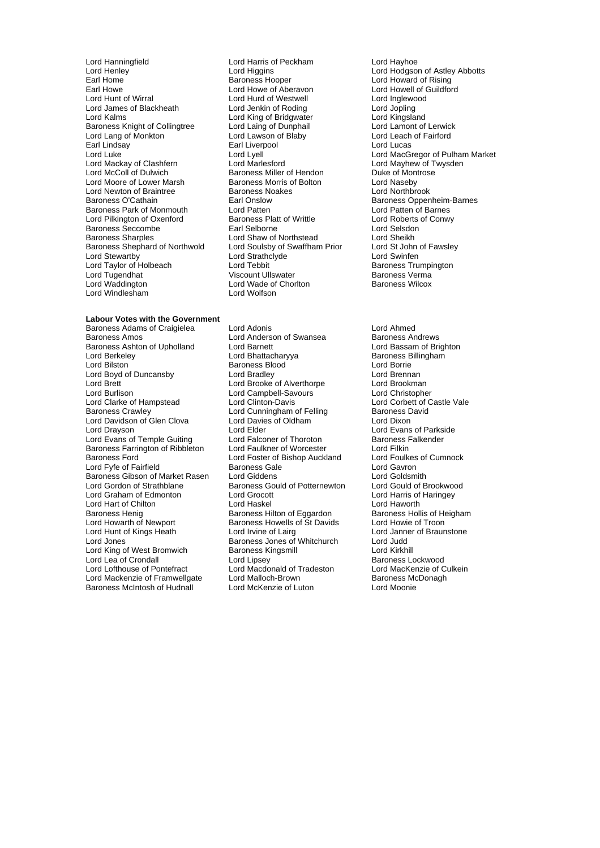Lord Hanningfield Lord Harris of Peckham Lord Hayhoe Lord Henley **Lord Hot Lord Higgins** Lord Hot Lord Hodgson of Astley Abbotts<br>
Earl Home **Lord Hot Lord Howard of Rising** Earl Howe **Carl Howe Conduct Lord Howe Of Aberavon** Cord Howell of Cord Howell of Cord Howell of Cord Howell of Cord Howell Cord Howell Cord Howell Cord Howell Cord Howell Cord Howell Cord Howell Cord Howell Cord Howell Co Lord James of Blackheath Lord Jenkin of Roding Lord Jopling Baroness Knight of Collingtree Lord Laing of Dunphail Lord Lamont of Lerwic<br>
Lord Lang of Monkton Lord Lawson of Blaby Lord Leach of Fairford Lord Lang of Monkton Lord Lord Lawson of Blaby Lord Leach Lord Leach Cord Leach Carl Lindsav<br>
Lord Lucas Lord Lucas Lord Mackay of Clashfern Lord Marlesford Lord Market Lord Mayhew of T<br>Lord McColl of Dulwich **Baroness Miller of Hendon** Duke of Montrose Lord Moore of Lower Marsh Baroness Morris of Bolton Lord Naseby<br>
Lord Newton of Braintree Baroness Noakes Lord Northbrook Lord Newton of Braintree **Baroness Noakes**<br>Baroness O'Cathain **Brain Northbrook** Earl Onslow Baroness Park of Monmouth Lord Patten<br>
Lord Pilkington of Oxenford Baroness Platt of Writtle Baroness Seccombe Earl Selborne<br>
Earl Selsdoness Sharples<br>
Lord Sheikh<br>
Lord Sheikh<br>
Lord Sheikh Baroness Shephard of Northwold<br>Lord Stewartby Lord Taylor of Holbeach Lord Tebbit Cord Tebbit Baroness Trumpington Baroness Trumpington Baroness Vermanness Vermanness Vermanness Vermanness Vermanness Vermanness Vermanness Vermanness Vermanness Vermanness Vermanness Ve Lord Tugendhat Viscount Ullswater Baroness Verma Lord Windlesham Lord Wolfson

# Lord Hurd of Westwell Lord Inglewo<br>
Lord Jenkin of Roding Lord Jopling Lord King of Bridgwater<br>
Lord Kingsland<br>
Lord Lamont of Lerwick<br>
Lord Lamont of Lerwick Earl Liverpool Exaroness Miller of Hendon Duke of Montroses Morris of Bolton Duke Ord Naseby Earl Onslow **Baroness Oppenheim-Barnes**<br> **Earl Onslow Baroness Oppenheim-Barnes**<br>
Lord Patten barness Oppenheim-Barnes Lord Roberts Conwy<br>
Baroness Platt of Writtle Lord Roberts of Conwy<br>
Farl Selborne Lord Selsdon Lord Shaw of Northstead<br>
Lord Soulsby of Swaffham Prior Lord St John of Fawsley Lord Strathclyde **Lord Strathclyde** Lord Swinfen<br>
Lord Tebbit **Communication**<br>
Baroness Trumpinaton Lord Wade of Chorlton

## **Labour Votes with the Government** Baroness Adams of Craigielea Lord Adonis<br>
Lord Anderson of Swansea Baroness Andrews<br>
Lord Anderson of Swansea Baroness Andrews Baroness Ashton of Upholland Lord Barnett Lord Berkeley **Lord Bhattacharyya** Baroness Billingham<br>
Lord Bilston **Baroness Blood** Baroness Blood Lord Borrie Lord Boyd of Duncansby Lord Brett Lord Brooke of Alverthorpe Lord Brookman<br>
Lord Burlison Lord Campbell-Savours Lord Christopher Lord Burlison<br>
Lord Clarke of Hampstead
Lord Clinton-Davis Lord Clarke of Hampstead Lord Clinton-Davis Lord Corbett of Castle Vale<br>
Lord Corbett of Castle Vale<br>
Lord Cunningham of Felling Baroness David Lord Davidson of Glen Clova Lord Davies of Oldham Lord Dixon<br>Lord Dravson Lord Flord Flord Clord Clord Clord Clord Clord Clord Clord Clord Clord Clord Clord Clore Lord Drayson **Lord Elder** Lord Elder Lord Ender Lord Evans of Parkside<br>Lord Evans of Temple Guiting Lord Falconer of Thoroton **Baroness Falkender** Lord Evans of Temple Guiting Baroness Farrington of Ribbleton Lord Faulkner of Worcester **Lord Filkin**<br>Baroness Ford **Cumnock** Lord Foster of Bishop Auckland Lord Foulkes of Cumnock Lord Fyfe of Fairfield **Baroness Gale** Cord Gavron Lord Gavron<br>Baroness Gibson of Market Rasen Lord Giddens **Lord Collamith** Baroness Gibson of Market Rasen Lord Giddens **Lord Goldsmith**<br>
Lord Gordon of Strathblane **Baroness Gould of Potternewton** Lord Gould of Brookwood Lord Gordon of Strathblane **Baroness Gould of Potternewton** Lord Gould of Brookwoo<br>Lord Graham of Edmonton Lord Grocott **Lord Condensing** Lord Harris of Haringey Lord Graham of Edmonton Lord Grocott Lord Harris of Lord Harris of Lord Harris of Lord Harris of Lord Hawarth Lord Hart of Chilton **Lord Haskel** Lord Haskel Lord Haworth Cord Haworth Cord Hayorth Lord Heigham<br>
Baroness Henig **Baroness Hilton of Eggardon** Baroness Hollis of Heigham Baroness Henig **Baroness Hilton of Eggardon** Baroness Hollis of Heighardon<br>
Baroness Howells of St Davids Lord Howie of Troon Lord Howarth of Newport Baroness Howells of St Davids<br>
Lord Hunt of Kings Heath Lord Irvine of Lairg Lord Jones **Baroness** Jones of Whitchurch Lord King of West Bromwich **Baroness Kingsmill** Cord Kirkhill Lord Kirkhill<br>
Lord Lea of Crondall **Lord Lingsex** Lord Lipsey Corporation Baroness Lockwood Lord Lea of Crondall **Lord Lipsey**<br>
Lord Lord Machel Lord Macdonald of Tradeston Lord MacKenzie of Culkein Lord Mackenzie of Framwellgate Lord Malloch-Brown **Baroness Mc**<br>Baroness McIntosh of Hudnall Lord McKenzie of Luton Lord Moonie Baroness McIntosh of Hudnall

**Lord Anderson of Swansea Baroness Andrews<br>
Lord Barnett Lord Bassam of Brighton** Baroness Blood (Castle and Lord Borrie Lord Branch)<br>
Lord Bradley (Castle and Lord Brennan Lord Cunningham of Felling Lord Foster of Bishop Auckland Lord Foulkes<br>Baroness Gale **Cumnock** Lord Gavron Lord Irvine of Lairg<br>
Raroness Jones of Whitchurch<br>
Lord Judd Lord Macdonald of Tradeston Lord MacKenzie of Culter<br>
Lord MacMenzie of Culter<br>
Baroness McDonagh

Lord Howard of Rising<br>Lord Howell of Guildford Lord Luke<br>
Lord Luke Cord Luke Lord Lord Lyell<br>
Lord Mackay of Clashfern Lord Marlesford Lord Mayhew of Twysden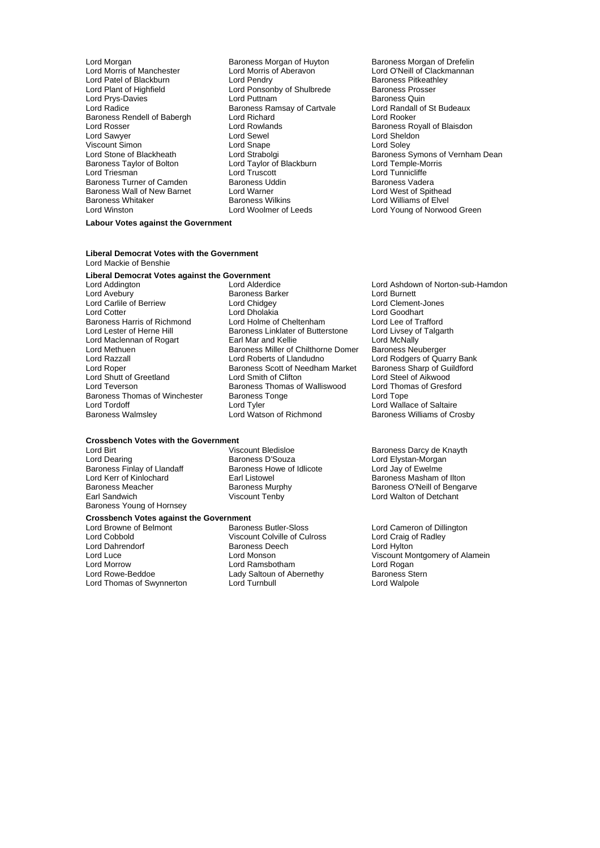- Lord Morgan burgan Baroness Morgan of Huyton<br>
Lord Morris of Manchester Lord Morris of Aberavon<br>
Lord Morris of Manchester Lord Morris of Aberavon Lord O'Neill of Clackmannan Lord Patel of Blackburn **Lord Pendry** Cord Pendry Baroness Pitkeath<br>
Lord Plant of Highfield **Baroness Prosser**<br>
Lord Ponsonby of Shulbrede Baroness Prosser Lord Prys-Davies Lord Puttnam Baroness Quin Baroness Rendell of Babergh Lord Richard Lord Rooker Lord Rosser **Lord Rowlands** Baroness Royall of Blaisdon<br>
Lord Sawyer **Lord Sewel**<br>
Lord Sewel Baroness Royall of Blaisdon Viscount Simon<br>
Lord Stone of Blackheath<br>
Lord Strabolgi Baroness Taylor of Bolton Lord Taylor of Lord Taylor of Bolton Lord Truscott Baroness Turner of Camden<br>Baroness Wall of New Barnet Baroness Wall of New Barnet Lord Warner Lord Communist Cord West of Spithead Lord West of Spithead<br>Baroness Whitaker Baroness Wilkins Lord Williams of Elvel Baroness Whitaker **Baroness Wilkins** Baroness Wilkins Lord Williams of Elvel<br>
Lord Winston Lord Woolmer of Leeds Lord Young of Norwoc
	- Lord Morris of Aberavon Lord O'Neill of Clackmannan<br>
	Lord Pendry Correst Baroness Pitkeathley Lord Ponsonby of Shulbrede Baroness Pross<br>
	Lord Puttnam Baroness Quin **Baroness Ramsay of Cartvale Lord Randall<br>
	Lord Richard Lord Rooker** Lord Sewel **Lord Sheldon**<br>
	Lord Snape **Lord Soley** Lord Truscott **Lord Truscott** Lord Tunnicliffe<br>
	Baroness Uddin **Lord Tunnicliffe**
	- Lord Strabolgi<br>
	Lord Strabolgi Blackburn Baroness Symons of Vernham Dean<br>
	Lord Taylor of Blackburn Lord Temple-Morris Lord Young of Norwood Green

#### **Labour Votes against the Government**

#### **Liberal Democrat Votes with the Government** Lord Mackie of Benshie

### **Liberal Democrat Votes against the Government**

- Lord Carlile of Berriew Lord Chidgey<br>
Lord Cotter Lord Chidgey<br>
Lord Cholakia Lord Shutt of Greetland Lord Smith of Clifton Lord Steel of Aikwood Baroness Thomas of Winchester Baroness<br>
Lord Tordoff Congress
Lord Tyler
- Lord Addington Lord Alderdice Lord Ashdown of Norton-sub-Hamdon **Baroness Barker State Corp 2018**<br>
Lord Chidgev<br>
Lord Clement-Jones Lord Dholakia<br>Lord Holme of Cheltenham Lord Lee of Tra Baroness Harris of Richmond Lord Holme of Cheltenham Lord Lee of Trafford<br>
Lord Lester of Herne Hill Baroness Linklater of Butterstone Lord Livsey of Talgarth **Baroness Linklater of Butterstone Lord Livsey of Australian Hill Baroness Linklater of Butterstone Lord Australian** Lord Maclennan of Rogart Earl Mar and Kellie Lord McNally<br>
Lord Methuen **Earl Mar and Kellie of Chilthorne Domer** Baroness Neuberger Lord Methuen Baroness Miller of Chilthorne Domer<br>
Lord Razzall Lord Roberts of Llandudno Lord Razzall Lord Roberts of Llandudno Lord Rodgers of Quarry Bank Exaroness Scott of Needham Market Baroness Sharp of Guilding and Steel of Aikwood Lord Teverson **Baroness Thomas of Walliswood** Lord Thomas of Gresford Lord Thomas of Gresford Baroness Tonge Lord Tope Lord Tyler The Lord Wallace of Saltaire<br>Lord Watson of Richmond Baroness Williams of Cre Baroness Walmsley Lord Watson of Richmond Baroness Williams of Crosby

## **Crossbench Votes with the Government**

Baroness Finlay of Llandaff Baroness Howell Baroness Howell<br>
Lord Kerr of Kinlochard<br>
Laticote Lord Listowel Lord Kerr of Kinlochard **Earl Listowel Baroness Masham of Ilton**<br>Baroness Meacher **Baroness Murphy** Baroness O'Neill of Benga Baroness Meacher Baroness Murphy Baroness O'Neill of Bengarve Baroness Young of Hornsey

Lord Birt **Communist Communist Communist Communist Communist Communist Communist Communist Communist Communist Communist Communist Communist Communist Communist Communist Communist Communist Communist Communist Communist C** Lord Dearing Baroness D'Souza Lord Elystan-Morgan

# **Crossbench Votes against the Government**

- Lord Cobbold **Viscount Colville of Culross** Lord Craig c<br>
Lord Dahrendorf **Cultricate College Control Control**<br>
Baroness Deech Lord Hylton Lord Dahrendorf Baroness Deech<br>
Lord Luce Lord Monson Lord Morrow **Lord Ramsbotham** Lord Rogan<br>
Lord Rowe-Beddoe **Communist Care Lady Saltoun of Abernethy** Baroness Stern Lord Thomas of Swynnerton
- Lord Browne of Belmont **Baroness Butler-Sloss** Lord Cameron of Dillington<br>
Lord Cobbold **Collington**<br>
Lord Craig of Radley Lady Saltoun of Abernethy **Baroness Sternethy** Baroness Sternethy<br>
Lord Turnbull **Baroness** Sternethy

Lord Walton of Detchant

Viscount Montgomery of Alamein